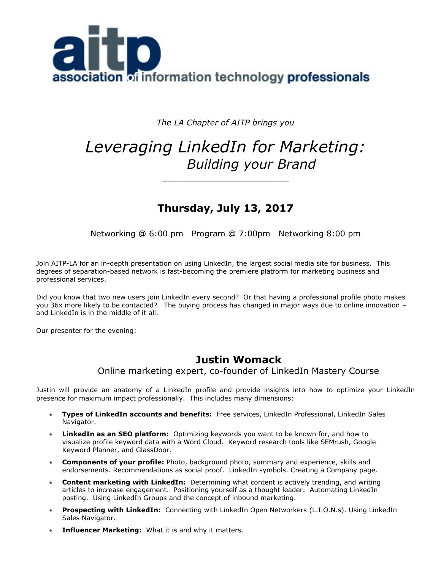

*The LA Chapter of AITP brings you*

# *Leveraging LinkedIn for Marketing: Building your Brand*

\_\_\_\_\_\_\_\_\_\_\_\_\_\_\_\_\_\_\_\_\_\_\_

# **Thursday, July 13, 2017**

Networking @ 6:00 pm Program @ 7:00pm Networking 8:00 pm

Join AITP-LA for an in-depth presentation on using LinkedIn, the largest social media site for business. This degrees of separation-based network is fast-becoming the premiere platform for marketing business and professional services.

Did you know that two new users join LinkedIn every second? Or that having a professional profile photo makes you 36x more likely to be contacted? The buying process has changed in major ways due to online innovation – and LinkedIn is in the middle of it all.

Our presenter for the evening:

# **Justin Womack**

Online marketing expert, co-founder of LinkedIn Mastery Course

Justin will provide an anatomy of a LinkedIn profile and provide insights into how to optimize your LinkedIn presence for maximum impact professionally. This includes many dimensions:

- **Types of LinkedIn accounts and benefits:** Free services, LinkedIn Professional, LinkedIn Sales Navigator.
- **LinkedIn as an SEO platform:** Optimizing keywords you want to be known for, and how to visualize profile keyword data with a Word Cloud. Keyword research tools like SEMrush, Google Keyword Planner, and GlassDoor.
- **Components of your profile:** Photo, background photo, summary and experience, skills and endorsements. Recommendations as social proof. LinkedIn symbols. Creating a Company page.
- **Content marketing with LinkedIn:** Determining what content is actively trending, and writing articles to increase engagement. Positioning yourself as a thought leader. Automating LinkedIn posting. Using LinkedIn Groups and the concept of inbound marketing.
- **Prospecting with LinkedIn:** Connecting with LinkedIn Open Networkers (L.I.O.N.s). Using LinkedIn Sales Navigator.
- **Influencer Marketing:** What it is and why it matters.